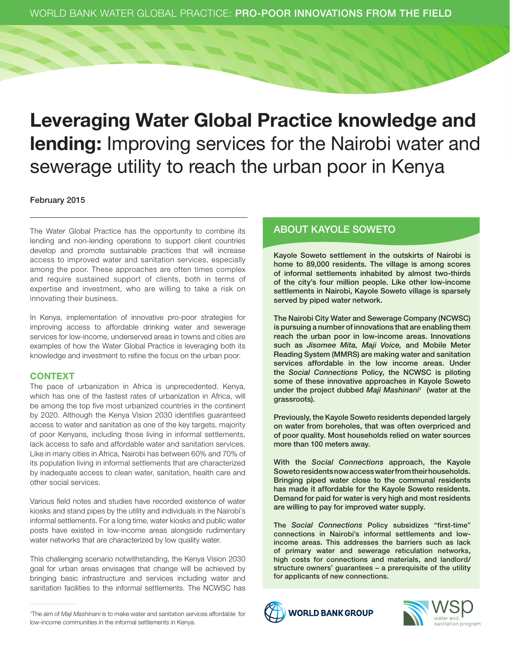# Leveraging Water Global Practice knowledge and lending: Improving services for the Nairobi water and sewerage utility to reach the urban poor in Kenya

#### February 2015

The Water Global Practice has the opportunity to combine its lending and non-lending operations to support client countries develop and promote sustainable practices that will increase access to improved water and sanitation services, especially among the poor. These approaches are often times complex and require sustained support of clients, both in terms of expertise and investment, who are willing to take a risk on innovating their business.

In Kenya, implementation of innovative pro-poor strategies for improving access to affordable drinking water and sewerage services for low-income, underserved areas in towns and cities are examples of how the Water Global Practice is leveraging both its knowledge and investment to refine the focus on the urban poor.

#### **CONTEXT**

The pace of urbanization in Africa is unprecedented. Kenya, which has one of the fastest rates of urbanization in Africa, will be among the top five most urbanized countries in the continent by 2020. Although the Kenya Vision 2030 identifies guaranteed access to water and sanitation as one of the key targets, majority of poor Kenyans, including those living in informal settlements, lack access to safe and affordable water and sanitation services. Like in many cities in Africa, Nairobi has between 60% and 70% of its population living in informal settlements that are characterized by inadequate access to clean water, sanitation, health care and other social services.

Various field notes and studies have recorded existence of water kiosks and stand pipes by the utility and individuals in the Nairobi's informal settlements. For a long time, water kiosks and public water posts have existed in low-income areas alongside rudimentary water networks that are characterized by low quality water.

This challenging scenario notwithstanding, the Kenya Vision 2030 goal for urban areas envisages that change will be achieved by bringing basic infrastructure and services including water and sanitation facilities to the informal settlements. The NCWSC has

### ABOUT KAYOLE SOWETO

Kayole Soweto settlement in the outskirts of Nairobi is home to 89,000 residents. The village is among scores of informal settlements inhabited by almost two-thirds of the city's four million people. Like other low-income settlements in Nairobi, Kayole Soweto village is sparsely served by piped water network.

The Nairobi City Water and Sewerage Company (NCWSC) is pursuing a number of innovations that are enabling them reach the urban poor in low-income areas. Innovations such as *Jisomee Mita, Maji Voice,* and Mobile Meter Reading System (MMRS) are making water and sanitation services affordable in the low income areas. Under the *Social Connections* Policy, the NCWSC is piloting some of these innovative approaches in Kayole Soweto under the project dubbed *Maji Mashinani1* (water at the grassroots).

Previously, the Kayole Soweto residents depended largely on water from boreholes, that was often overpriced and of poor quality. Most households relied on water sources more than 100 meters away.

With the *Social Connections* approach, the Kayole Soweto residents now access water from their households. Bringing piped water close to the communal residents has made it affordable for the Kayole Soweto residents. Demand for paid for water is very high and most residents are willing to pay for improved water supply.

The *Social Connections* Policy subsidizes "first-time" connections in Nairobi's informal settlements and lowincome areas. This addresses the barriers such as lack of primary water and sewerage reticulation networks, high costs for connections and materials, and landlord/ structure owners' guarantees – a prerequisite of the utility for applicants of new connections.





<sup>1</sup> The aim of *Maji Mashinani* is to make water and sanitation services affordable for low-income communities in the informal settlements in Kenya.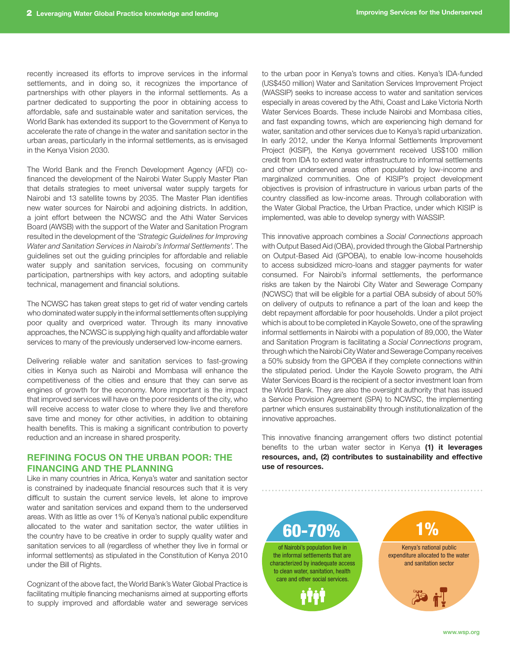recently increased its efforts to improve services in the informal settlements, and in doing so, it recognizes the importance of partnerships with other players in the informal settlements. As a partner dedicated to supporting the poor in obtaining access to affordable, safe and sustainable water and sanitation services, the World Bank has extended its support to the Government of Kenya to accelerate the rate of change in the water and sanitation sector in the urban areas, particularly in the informal settlements, as is envisaged in the Kenya Vision 2030.

The World Bank and the French Development Agency (AFD) cofinanced the development of the Nairobi Water Supply Master Plan that details strategies to meet universal water supply targets for Nairobi and 13 satellite towns by 2035. The Master Plan identifies new water sources for Nairobi and adjoining districts. In addition, a joint effort between the NCWSC and the Athi Water Services Board (AWSB) with the support of the Water and Sanitation Program resulted in the development of the *'Strategic Guidelines for Improving Water and Sanitation Services in Nairobi's Informal Settlements'*. The guidelines set out the guiding principles for affordable and reliable water supply and sanitation services, focusing on community participation, partnerships with key actors, and adopting suitable technical, management and financial solutions.

The NCWSC has taken great steps to get rid of water vending cartels who dominated water supply in the informal settlements often supplying poor quality and overpriced water. Through its many innovative approaches, the NCWSC is supplying high quality and affordable water services to many of the previously underserved low-income earners.

Delivering reliable water and sanitation services to fast-growing cities in Kenya such as Nairobi and Mombasa will enhance the competitiveness of the cities and ensure that they can serve as engines of growth for the economy. More important is the impact that improved services will have on the poor residents of the city, who will receive access to water close to where they live and therefore save time and money for other activities, in addition to obtaining health benefits. This is making a significant contribution to poverty reduction and an increase in shared prosperity.

#### Refining Focus on the Urban Poor: the Financing AND THE PLANNING

Like in many countries in Africa, Kenya's water and sanitation sector is constrained by inadequate financial resources such that it is very difficult to sustain the current service levels, let alone to improve water and sanitation services and expand them to the underserved areas. With as little as over 1% of Kenya's national public expenditure allocated to the water and sanitation sector, the water utilities in the country have to be creative in order to supply quality water and sanitation services to all (regardless of whether they live in formal or informal settlements) as stipulated in the Constitution of Kenya 2010 under the Bill of Rights.

Cognizant of the above fact, the World Bank's Water Global Practice is facilitating multiple financing mechanisms aimed at supporting efforts to supply improved and affordable water and sewerage services

to the urban poor in Kenya's towns and cities. Kenya's IDA-funded (US\$450 million) Water and Sanitation Services Improvement Project (WASSIP) seeks to increase access to water and sanitation services especially in areas covered by the Athi, Coast and Lake Victoria North Water Services Boards. These include Nairobi and Mombasa cities, and fast expanding towns, which are experiencing high demand for water, sanitation and other services due to Kenya's rapid urbanization. In early 2012, under the Kenya Informal Settlements Improvement Project (KISIP), the Kenya government received US\$100 million credit from IDA to extend water infrastructure to informal settlements and other underserved areas often populated by low-income and marginalized communities. One of KISIP's project development objectives is provision of infrastructure in various urban parts of the country classified as low-income areas. Through collaboration with the Water Global Practice, the Urban Practice, under which KISIP is implemented, was able to develop synergy with WASSIP.

This innovative approach combines a *Social Connections* approach with Output Based Aid (OBA), provided through the Global Partnership on Output-Based Aid (GPOBA), to enable low-income households to access subsidized micro-loans and stagger payments for water consumed. For Nairobi's informal settlements, the performance risks are taken by the Nairobi City Water and Sewerage Company (NCWSC) that will be eligible for a partial OBA subsidy of about 50% on delivery of outputs to refinance a part of the loan and keep the debt repayment affordable for poor households. Under a pilot project which is about to be completed in Kayole Soweto, one of the sprawling informal settlements in Nairobi with a population of 89,000, the Water and Sanitation Program is facilitating a *Social Connections* program, through which the Nairobi City Water and Sewerage Company receives a 50% subsidy from the GPOBA if they complete connections within the stipulated period. Under the Kayole Soweto program, the Athi Water Services Board is the recipient of a sector investment loan from the World Bank. They are also the oversight authority that has issued a Service Provision Agreement (SPA) to NCWSC, the implementing partner which ensures sustainability through institutionalization of the innovative approaches.

This innovative financing arrangement offers two distinct potential benefits to the urban water sector in Kenya (1) it leverages resources, and, (2) contributes to sustainability and effective use of resources.



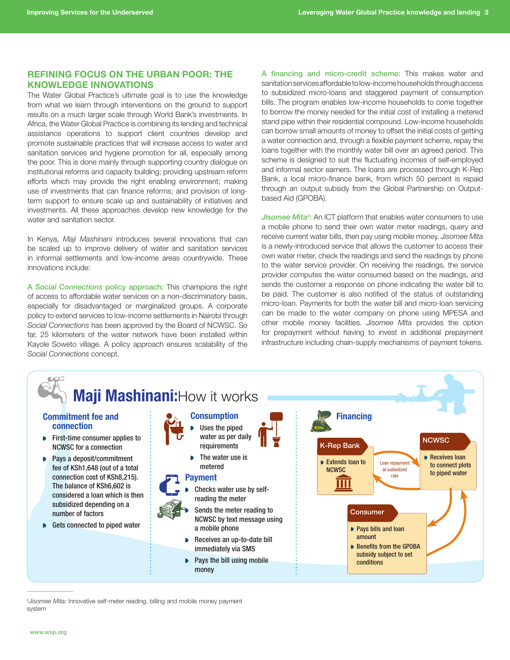#### REFINING FOCUS ON THE URBAN POOR: THE KNOWLEDGE INNOVATIONS

The Water Global Practice's ultimate goal is to use the knowledge from what we learn through interventions on the ground to support results on a much larger scale through World Bank's investments. In Africa, the Water Global Practice is combining its lending and technical assistance operations to support client countries develop and promote sustainable practices that will increase access to water and sanitation services and hygiene promotion for all, especially among the poor. This is done mainly through supporting country dialogue on institutional reforms and capacity building; providing upstream reform efforts which may provide the right enabling environment; making use of investments that can finance reforms; and provision of longterm support to ensure scale up and sustainability of initiatives and investments. All these approaches develop new knowledge for the water and sanitation sector.

In Kenya, *Maji Mashinani* introduces several innovations that can be scaled up to improve delivery of water and sanitation services in informal settlements and low-income areas countrywide. These innovations include:

A *Social Connections* policy approach: This champions the right of access to affordable water services on a non-discriminatory basis, especially for disadvantaged or marginalized groups. A corporate policy to extend services to low-income settlements in Nairobi through *Social Connections* has been approved by the Board of NCWSC. So far, 25 kilometers of the water network have been installed within Kayole Soweto village. A policy approach ensures scalability of the *Social Connections* concept.

A financing and micro-credit scheme: This makes water and sanitation services affordable to low-income households through access to subsidized micro-loans and staggered payment of consumption bills. The program enables low-income households to come together to borrow the money needed for the initial cost of installing a metered stand pipe within their residential compound. Low-income households can borrow small amounts of money to offset the initial costs of getting a water connection and, through a flexible payment scheme, repay the loans together with the monthly water bill over an agreed period. This scheme is designed to suit the fluctuating incomes of self-employed and informal sector earners. The loans are processed through K-Rep Bank, a local micro-finance bank, from which 50 percent is repaid through an output subsidy from the Global Partnership on Outputbased Aid (GPOBA).

Jisomee Mita<sup>2</sup>: An ICT platform that enables water consumers to use a mobile phone to send their own water meter readings, query and receive current water bills, then pay using mobile money. *Jisomee Mita* is a newly-introduced service that allows the customer to access their own water meter, check the readings and send the readings by phone to the water service provider. On receiving the readings, the service provider computes the water consumed based on the readings, and sends the customer a response on phone indicating the water bill to be paid. The customer is also notified of the status of outstanding micro-loan. Payments for both the water bill and micro-loan servicing can be made to the water company on phone using MPESA and other mobile money facilities. *Jisomee Mita* provides the option for prepayment without having to invest in additional prepayment infrastructure including chain-supply mechanisms of payment tokens.



2 *Jisomee Mita:* Innovative self-meter reading, billing and mobile money payment system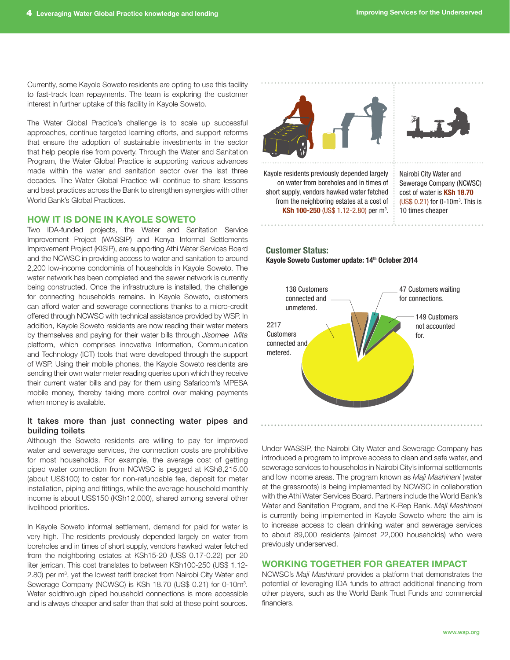Currently, some Kayole Soweto residents are opting to use this facility to fast-track loan repayments. The team is exploring the customer interest in further uptake of this facility in Kayole Soweto.

The Water Global Practice's challenge is to scale up successful approaches, continue targeted learning efforts, and support reforms that ensure the adoption of sustainable investments in the sector that help people rise from poverty. Through the Water and Sanitation Program, the Water Global Practice is supporting various advances made within the water and sanitation sector over the last three decades. The Water Global Practice will continue to share lessons and best practices across the Bank to strengthen synergies with other World Bank's Global Practices.

#### How it is done in Kayole Soweto

Two IDA-funded projects, the Water and Sanitation Service Improvement Project (WASSIP) and Kenya Informal Settlements Improvement Project (KISIP), are supporting Athi Water Services Board and the NCWSC in providing access to water and sanitation to around 2,200 low-income condominia of households in Kayole Soweto. The water network has been completed and the sewer network is currently being constructed. Once the infrastructure is installed, the challenge for connecting households remains. In Kayole Soweto, customers can afford water and sewerage connections thanks to a micro-credit offered through NCWSC with technical assistance provided by WSP. In addition, Kayole Soweto residents are now reading their water meters by themselves and paying for their water bills through *Jisomee Mita* platform, which comprises innovative Information, Communication and Technology (ICT) tools that were developed through the support of WSP. Using their mobile phones, the Kayole Soweto residents are sending their own water meter reading queries upon which they receive their current water bills and pay for them using Safaricom's MPESA mobile money, thereby taking more control over making payments when money is available.

#### It takes more than just connecting water pipes and building toilets

Although the Soweto residents are willing to pay for improved water and sewerage services, the connection costs are prohibitive for most households. For example, the average cost of getting piped water connection from NCWSC is pegged at KSh8,215.00 (about US\$100) to cater for non-refundable fee, deposit for meter installation, piping and fittings, while the average household monthly income is about US\$150 (KSh12,000), shared among several other livelihood priorities.

In Kayole Soweto informal settlement, demand for paid for water is very high. The residents previously depended largely on water from boreholes and in times of short supply, vendors hawked water fetched from the neighboring estates at KSh15-20 (US\$ 0.17-0.22) per 20 liter jerrican. This cost translates to between KSh100-250 (US\$ 1.12- 2.80) per m<sup>3</sup>, yet the lowest tariff bracket from Nairobi City Water and Sewerage Company (NCWSC) is KSh 18.70 (US\$ 0.21) for 0-10m<sup>3</sup>. Water soldthrough piped household connections is more accessible and is always cheaper and safer than that sold at these point sources.



Kayole residents previously depended largely on water from boreholes and in times of short supply, vendors hawked water fetched from the neighboring estates at a cost of KSh 100-250 (US\$ 1.12-2.80) per m<sup>3</sup>.

Nairobi City Water and Sewerage Company (NCWSC) cost of water is KSh 18.70  $(US$ 0.21)$  for 0-10 $m^3$ . This is 10 times cheaper





Under WASSIP, the Nairobi City Water and Sewerage Company has introduced a program to improve access to clean and safe water, and sewerage services to households in Nairobi City's informal settlements and low income areas. The program known as *Maji Mashinani* (water at the grassroots) is being implemented by NCWSC in collaboration with the Athi Water Services Board. Partners include the World Bank's Water and Sanitation Program, and the K-Rep Bank. *Maji Mashinani* is currently being implemented in Kayole Soweto where the aim is to increase access to clean drinking water and sewerage services to about 89,000 residents (almost 22,000 households) who were previously underserved.

#### Working together for greater impact

NCWSC's *Maji Mashinani* provides a platform that demonstrates the potential of leveraging IDA funds to attract additional financing from other players, such as the World Bank Trust Funds and commercial financiers.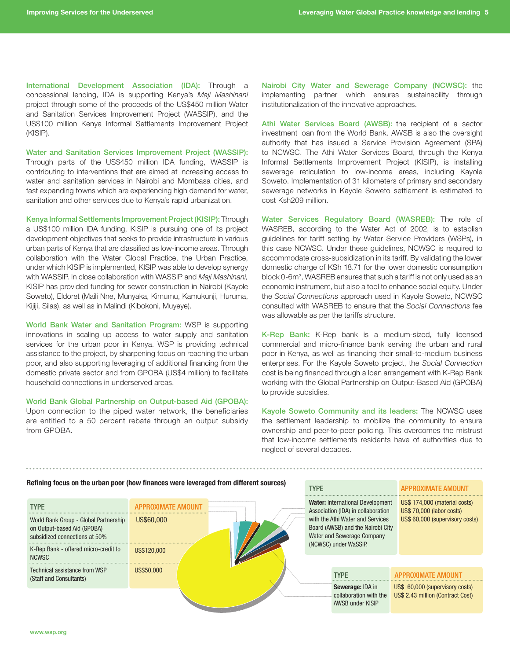International Development Association (IDA): Through a concessional lending, IDA is supporting Kenya's *Maji Mashinani*  project through some of the proceeds of the US\$450 million Water and Sanitation Services Improvement Project (WASSIP), and the US\$100 million Kenya Informal Settlements Improvement Project (KISIP).

Water and Sanitation Services Improvement Project (WASSIP): Through parts of the US\$450 million IDA funding, WASSIP is contributing to interventions that are aimed at increasing access to water and sanitation services in Nairobi and Mombasa cities, and fast expanding towns which are experiencing high demand for water, sanitation and other services due to Kenya's rapid urbanization.

Kenya Informal Settlements Improvement Project (KISIP): Through a US\$100 million IDA funding, KISIP is pursuing one of its project development objectives that seeks to provide infrastructure in various urban parts of Kenya that are classified as low-income areas. Through collaboration with the Water Global Practice, the Urban Practice, under which KISIP is implemented, KISIP was able to develop synergy with WASSIP. In close collaboration with WASSIP and *Maji Mashinani,* KISIP has provided funding for sewer construction in Nairobi (Kayole Soweto), Eldoret (Maili Nne, Munyaka, Kimumu, Kamukunji, Huruma, Kijiji, Silas), as well as in Malindi (Kibokoni, Muyeye).

World Bank Water and Sanitation Program: WSP is supporting innovations in scaling up access to water supply and sanitation services for the urban poor in Kenya. WSP is providing technical assistance to the project, by sharpening focus on reaching the urban poor, and also supporting leveraging of additional financing from the domestic private sector and from GPOBA (US\$4 million) to facilitate household connections in underserved areas.

World Bank Global Partnership on Output-based Aid (GPOBA): Upon connection to the piped water network, the beneficiaries are entitled to a 50 percent rebate through an output subsidy from GPOBA.

Nairobi City Water and Sewerage Company (NCWSC): the implementing partner which ensures sustainability through institutionalization of the innovative approaches.

Athi Water Services Board (AWSB): the recipient of a sector investment loan from the World Bank. AWSB is also the oversight authority that has issued a Service Provision Agreement (SPA) to NCWSC. The Athi Water Services Board, through the Kenya Informal Settlements Improvement Project (KISIP), is installing sewerage reticulation to low-income areas, including Kayole Soweto. Implementation of 31 kilometers of primary and secondary sewerage networks in Kayole Soweto settlement is estimated to cost Ksh209 million.

Water Services Regulatory Board (WASREB): The role of WASREB, according to the Water Act of 2002, is to establish guidelines for tariff setting by Water Service Providers (WSPs), in this case NCWSC. Under these guidelines, NCWSC is required to accommodate cross-subsidization in its tariff. By validating the lower domestic charge of KSh 18.71 for the lower domestic consumption block 0-6m3 , WASREB ensures that such a tariff is not only used as an economic instrument, but also a tool to enhance social equity. Under the *Social Connections* approach used in Kayole Soweto, NCWSC consulted with WASREB to ensure that the *Social Connections* fee was allowable as per the tariffs structure.

K-Rep Bank: K-Rep bank is a medium-sized, fully licensed commercial and micro-finance bank serving the urban and rural poor in Kenya, as well as financing their small-to-medium business enterprises. For the Kayole Soweto project, the *Social Connection* cost is being financed through a loan arrangement with K-Rep Bank working with the Global Partnership on Output-Based Aid (GPOBA) to provide subsidies.

Kayole Soweto Community and its leaders: The NCWSC uses the settlement leadership to mobilize the community to ensure ownership and peer-to-peer policing. This overcomes the mistrust that low-income settlements residents have of authorities due to neglect of several decades.

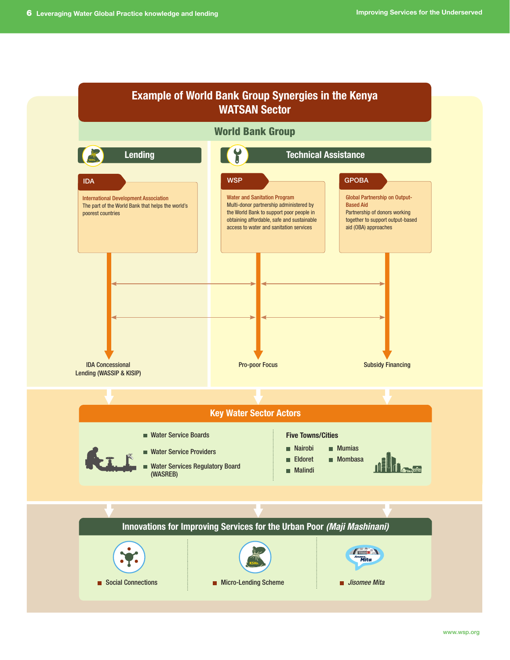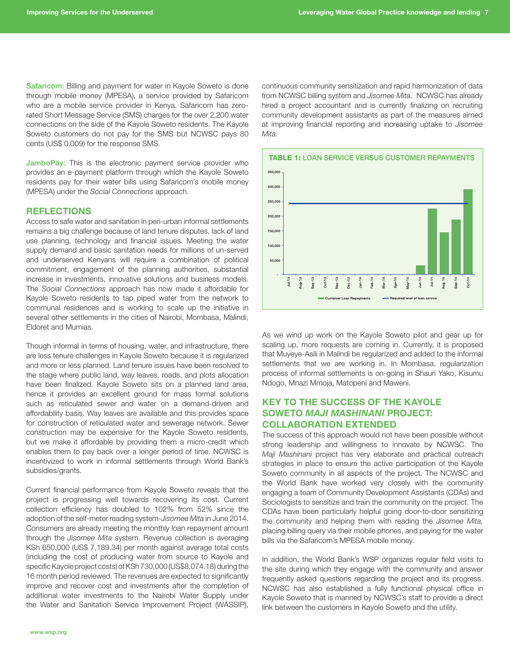Safaricom: Billing and payment for water in Kayole Soweto is done through mobile money (MPESA), a service provided by Safaricom who are a mobile service provider in Kenya. Safaricom has zerorated Short Message Service (SMS) charges for the over 2,200 water connections on the side of the Kayole Soweto residents. The Kayole Soweto customers do not pay for the SMS but NCWSC pays 80 cents (US\$ 0.009) for the response SMS.

JamboPay: This is the electronic payment service provider who provides an e-payment platform through which the Kayole Soweto residents pay for their water bills using Safaricom's mobile money (MPESA) under the *Social Connections* approach.

#### **REFLECTIONS**

Access to safe water and sanitation in peri-urban informal settlements remains a big challenge because of land tenure disputes, lack of land use planning, technology and financial issues. Meeting the water supply demand and basic sanitation needs for millions of un-served and underserved Kenyans will require a combination of political commitment, engagement of the planning authorities, substantial increase in investments, innovative solutions and business models. The *Social Connections* approach has now made it affordable for Kayole Soweto residents to tap piped water from the network to communal residences and is working to scale up the initiative in several other settlements in the cities of Nairobi, Mombasa, Malindi, Eldoret and Mumias.

Though informal in terms of housing, water, and infrastructure, there are less tenure challenges in Kayole Soweto because it is regularized and more or less planned. Land tenure issues have been resolved to the stage where public land, way leaves, roads, and plots allocation have been finalized. Kayole Soweto sits on a planned land area, hence it provides an excellent ground for mass formal solutions such as reticulated sewer and water on a demand-driven and affordability basis. Way leaves are available and this provides space for construction of reticulated water and sewerage network. Sewer construction may be expensive for the Kayole Soweto residents, but we make it affordable by providing them a micro-credit which enables them to pay back over a longer period of time. NCWSC is incentivized to work in informal settlements through World Bank's subsidies/grants.

Current financial performance from Kayole Soweto reveals that the project is progressing well towards recovering its cost. Current collection efficiency has doubled to 102% from 52% since the adoption of the self-meter reading system-*Jisomee Mita* in June 2014. Consumers are already meeting the monthly loan repayment amount through the *Jisomee Mita* system. Revenue collection is averaging KSh 650,000 (US\$ 7,189.34) per month against average total costs (including the cost of producing water from source to Kayole and specific Kayole project costs) of KSh 730,000 (US\$8,074.18) during the 16 month period reviewed. The revenues are expected to significantly improve and recover cost and investments after the completion of additional water investments to the Nairobi Water Supply under the Water and Sanitation Service Improvement Project (WASSIP), continuous community sensitization and rapid harmonization of data from NCWSC billing system and *Jisomee Mita.* NCWSC has already hired a project accountant and is currently finalizing on recruiting community development assistants as part of the measures aimed at improving financial reporting and increasing uptake to *Jisomee Mita.*



As we wind up work on the Kayole Soweto pilot and gear up for scaling up, more requests are coming in. Currently, it is proposed that Muyeye-Asili in Malindi be regularized and added to the informal settlements that we are working in. In Mombasa, regularization process of informal settlements is on-going in Shauri Yako, Kisumu Ndogo, Mnazi Mmoja, Matopeni and Maweni.

#### KEY TO THE SUCCESS OF THE KAYOLE SOWETO *MAJI MASHINANI* PROJECT: COLLABORATION EXTENDED

The success of this approach would not have been possible without strong leadership and willingness to innovate by NCWSC. The *Maji Mashinani* project has very elaborate and practical outreach strategies in place to ensure the active participation of the Kayole Soweto community in all aspects of the project. The NCWSC and the World Bank have worked very closely with the community engaging a team of Community Development Assistants (CDAs) and Sociologists to sensitize and train the community on the project. The CDAs have been particularly helpful going door-to-door sensitizing the community and helping them with reading the *Jisomee Mita,* placing billing query via their mobile phones, and paying for the water bills via the Safaricom's MPESA mobile money.

In addition, the World Bank's WSP organizes regular field visits to the site during which they engage with the community and answer frequently asked questions regarding the project and its progress. NCWSC has also established a fully functional physical office in Kayole Soweto that is manned by NCWSC's staff to provide a direct link between the customers in Kayole Soweto and the utility.